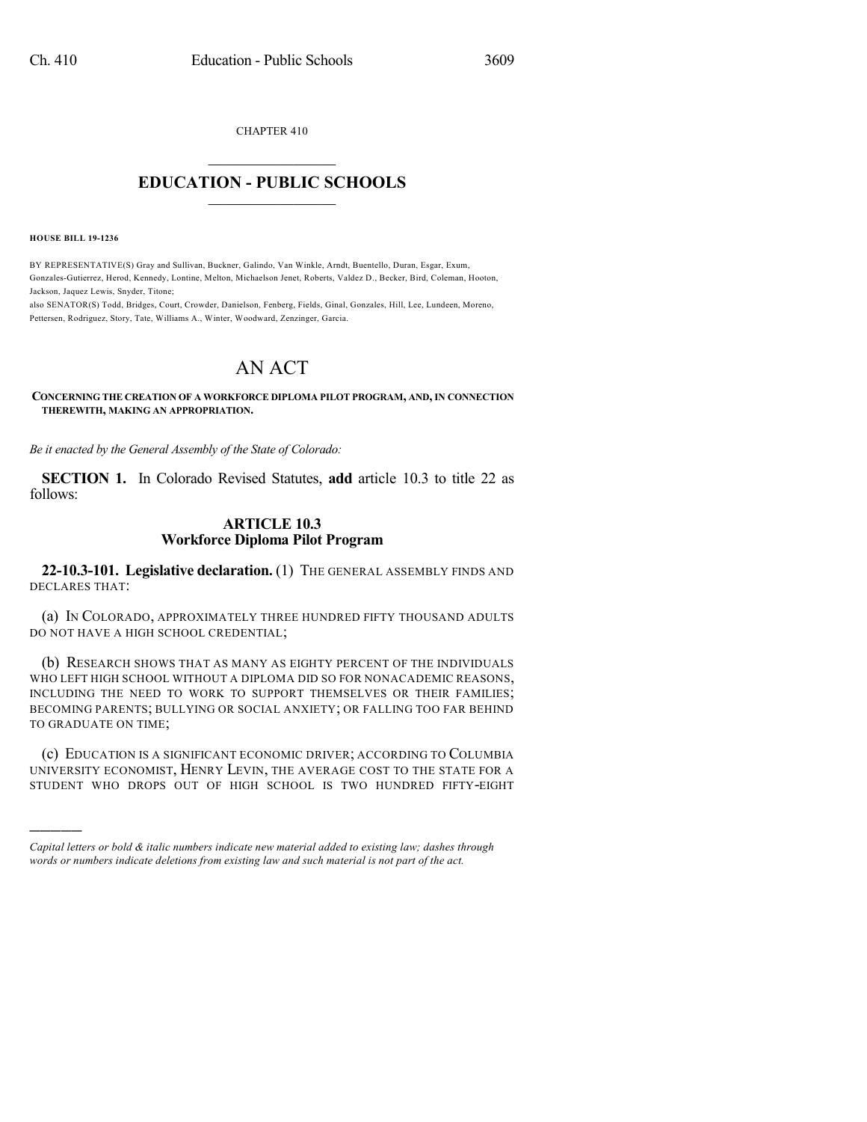CHAPTER 410

## $\mathcal{L}_\text{max}$  . The set of the set of the set of the set of the set of the set of the set of the set of the set of the set of the set of the set of the set of the set of the set of the set of the set of the set of the set **EDUCATION - PUBLIC SCHOOLS**  $\_$   $\_$   $\_$   $\_$   $\_$   $\_$   $\_$   $\_$   $\_$

**HOUSE BILL 19-1236**

)))))

BY REPRESENTATIVE(S) Gray and Sullivan, Buckner, Galindo, Van Winkle, Arndt, Buentello, Duran, Esgar, Exum, Gonzales-Gutierrez, Herod, Kennedy, Lontine, Melton, Michaelson Jenet, Roberts, Valdez D., Becker, Bird, Coleman, Hooton, Jackson, Jaquez Lewis, Snyder, Titone;

also SENATOR(S) Todd, Bridges, Court, Crowder, Danielson, Fenberg, Fields, Ginal, Gonzales, Hill, Lee, Lundeen, Moreno, Pettersen, Rodriguez, Story, Tate, Williams A., Winter, Woodward, Zenzinger, Garcia.

## AN ACT

**CONCERNING THE CREATION OF A WORKFORCE DIPLOMA PILOT PROGRAM, AND, IN CONNECTION THEREWITH, MAKING AN APPROPRIATION.**

*Be it enacted by the General Assembly of the State of Colorado:*

**SECTION 1.** In Colorado Revised Statutes, **add** article 10.3 to title 22 as follows:

## **ARTICLE 10.3 Workforce Diploma Pilot Program**

**22-10.3-101. Legislative declaration.** (1) THE GENERAL ASSEMBLY FINDS AND DECLARES THAT:

(a) IN COLORADO, APPROXIMATELY THREE HUNDRED FIFTY THOUSAND ADULTS DO NOT HAVE A HIGH SCHOOL CREDENTIAL;

(b) RESEARCH SHOWS THAT AS MANY AS EIGHTY PERCENT OF THE INDIVIDUALS WHO LEFT HIGH SCHOOL WITHOUT A DIPLOMA DID SO FOR NONACADEMIC REASONS, INCLUDING THE NEED TO WORK TO SUPPORT THEMSELVES OR THEIR FAMILIES; BECOMING PARENTS; BULLYING OR SOCIAL ANXIETY; OR FALLING TOO FAR BEHIND TO GRADUATE ON TIME;

(c) EDUCATION IS A SIGNIFICANT ECONOMIC DRIVER; ACCORDING TO COLUMBIA UNIVERSITY ECONOMIST, HENRY LEVIN, THE AVERAGE COST TO THE STATE FOR A STUDENT WHO DROPS OUT OF HIGH SCHOOL IS TWO HUNDRED FIFTY-EIGHT

*Capital letters or bold & italic numbers indicate new material added to existing law; dashes through words or numbers indicate deletions from existing law and such material is not part of the act.*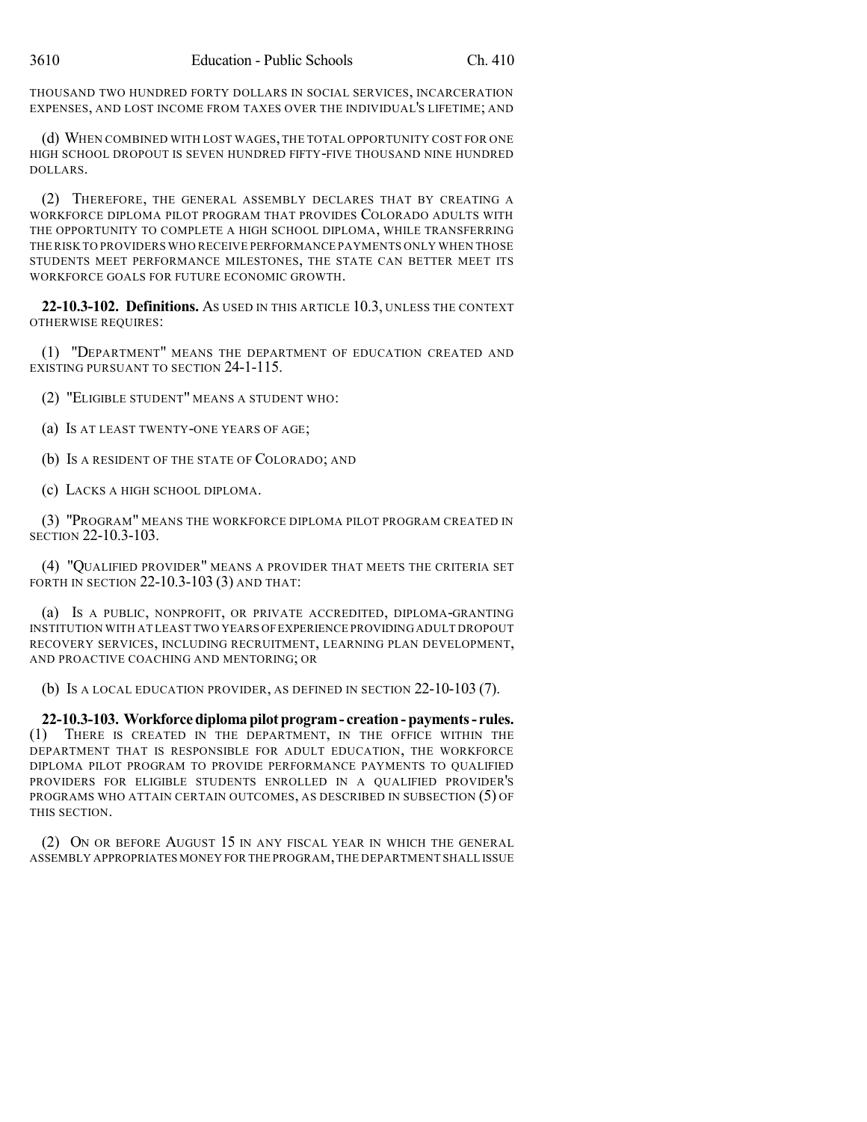THOUSAND TWO HUNDRED FORTY DOLLARS IN SOCIAL SERVICES, INCARCERATION EXPENSES, AND LOST INCOME FROM TAXES OVER THE INDIVIDUAL'S LIFETIME; AND

(d) WHEN COMBINED WITH LOST WAGES, THE TOTAL OPPORTUNITY COST FOR ONE HIGH SCHOOL DROPOUT IS SEVEN HUNDRED FIFTY-FIVE THOUSAND NINE HUNDRED DOLLARS.

(2) THEREFORE, THE GENERAL ASSEMBLY DECLARES THAT BY CREATING A WORKFORCE DIPLOMA PILOT PROGRAM THAT PROVIDES COLORADO ADULTS WITH THE OPPORTUNITY TO COMPLETE A HIGH SCHOOL DIPLOMA, WHILE TRANSFERRING THE RISK TO PROVIDERS WHO RECEIVE PERFORMANCE PAYMENTS ONLY WHEN THOSE STUDENTS MEET PERFORMANCE MILESTONES, THE STATE CAN BETTER MEET ITS WORKFORCE GOALS FOR FUTURE ECONOMIC GROWTH.

**22-10.3-102. Definitions.** AS USED IN THIS ARTICLE 10.3, UNLESS THE CONTEXT OTHERWISE REQUIRES:

(1) "DEPARTMENT" MEANS THE DEPARTMENT OF EDUCATION CREATED AND EXISTING PURSUANT TO SECTION 24-1-115.

- (2) "ELIGIBLE STUDENT" MEANS A STUDENT WHO:
- (a) IS AT LEAST TWENTY-ONE YEARS OF AGE;
- (b) IS A RESIDENT OF THE STATE OF COLORADO; AND
- (c) LACKS A HIGH SCHOOL DIPLOMA.

(3) "PROGRAM" MEANS THE WORKFORCE DIPLOMA PILOT PROGRAM CREATED IN SECTION 22-10.3-103.

(4) "QUALIFIED PROVIDER" MEANS A PROVIDER THAT MEETS THE CRITERIA SET FORTH IN SECTION 22-10.3-103 (3) AND THAT:

(a) IS A PUBLIC, NONPROFIT, OR PRIVATE ACCREDITED, DIPLOMA-GRANTING INSTITUTION WITH AT LEAST TWO YEARS OFEXPERIENCE PROVIDINGADULT DROPOUT RECOVERY SERVICES, INCLUDING RECRUITMENT, LEARNING PLAN DEVELOPMENT, AND PROACTIVE COACHING AND MENTORING; OR

(b) IS A LOCAL EDUCATION PROVIDER, AS DEFINED IN SECTION 22-10-103 (7).

**22-10.3-103. Workforcediplomapilotprogram- creation-payments- rules.** (1) THERE IS CREATED IN THE DEPARTMENT, IN THE OFFICE WITHIN THE DEPARTMENT THAT IS RESPONSIBLE FOR ADULT EDUCATION, THE WORKFORCE DIPLOMA PILOT PROGRAM TO PROVIDE PERFORMANCE PAYMENTS TO QUALIFIED PROVIDERS FOR ELIGIBLE STUDENTS ENROLLED IN A QUALIFIED PROVIDER'S PROGRAMS WHO ATTAIN CERTAIN OUTCOMES, AS DESCRIBED IN SUBSECTION (5) OF THIS SECTION.

(2) ON OR BEFORE AUGUST 15 IN ANY FISCAL YEAR IN WHICH THE GENERAL ASSEMBLY APPROPRIATES MONEY FOR THE PROGRAM,THE DEPARTMENT SHALL ISSUE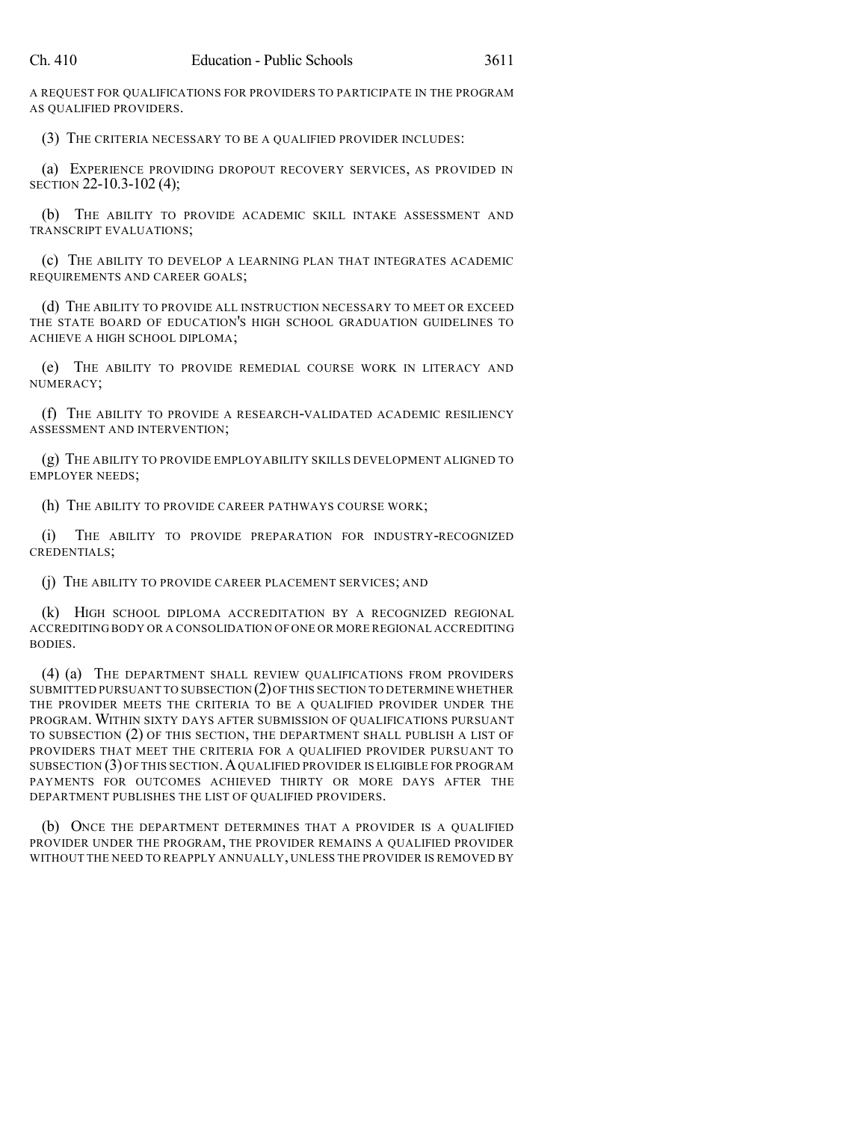A REQUEST FOR QUALIFICATIONS FOR PROVIDERS TO PARTICIPATE IN THE PROGRAM AS QUALIFIED PROVIDERS.

(3) THE CRITERIA NECESSARY TO BE A QUALIFIED PROVIDER INCLUDES:

(a) EXPERIENCE PROVIDING DROPOUT RECOVERY SERVICES, AS PROVIDED IN SECTION 22-10.3-102 (4);

(b) THE ABILITY TO PROVIDE ACADEMIC SKILL INTAKE ASSESSMENT AND TRANSCRIPT EVALUATIONS;

(c) THE ABILITY TO DEVELOP A LEARNING PLAN THAT INTEGRATES ACADEMIC REQUIREMENTS AND CAREER GOALS;

(d) THE ABILITY TO PROVIDE ALL INSTRUCTION NECESSARY TO MEET OR EXCEED THE STATE BOARD OF EDUCATION'S HIGH SCHOOL GRADUATION GUIDELINES TO ACHIEVE A HIGH SCHOOL DIPLOMA;

(e) THE ABILITY TO PROVIDE REMEDIAL COURSE WORK IN LITERACY AND NUMERACY;

(f) THE ABILITY TO PROVIDE A RESEARCH-VALIDATED ACADEMIC RESILIENCY ASSESSMENT AND INTERVENTION;

(g) THE ABILITY TO PROVIDE EMPLOYABILITY SKILLS DEVELOPMENT ALIGNED TO EMPLOYER NEEDS;

(h) THE ABILITY TO PROVIDE CAREER PATHWAYS COURSE WORK;

(i) THE ABILITY TO PROVIDE PREPARATION FOR INDUSTRY-RECOGNIZED CREDENTIALS;

(j) THE ABILITY TO PROVIDE CAREER PLACEMENT SERVICES; AND

(k) HIGH SCHOOL DIPLOMA ACCREDITATION BY A RECOGNIZED REGIONAL ACCREDITING BODY OR A CONSOLIDATION OF ONE OR MORE REGIONAL ACCREDITING BODIES.

(4) (a) THE DEPARTMENT SHALL REVIEW QUALIFICATIONS FROM PROVIDERS SUBMITTED PURSUANT TO SUBSECTION (2)OFTHIS SECTION TO DETERMINE WHETHER THE PROVIDER MEETS THE CRITERIA TO BE A QUALIFIED PROVIDER UNDER THE PROGRAM. WITHIN SIXTY DAYS AFTER SUBMISSION OF QUALIFICATIONS PURSUANT TO SUBSECTION (2) OF THIS SECTION, THE DEPARTMENT SHALL PUBLISH A LIST OF PROVIDERS THAT MEET THE CRITERIA FOR A QUALIFIED PROVIDER PURSUANT TO SUBSECTION (3) OF THIS SECTION.AQUALIFIED PROVIDER IS ELIGIBLE FOR PROGRAM PAYMENTS FOR OUTCOMES ACHIEVED THIRTY OR MORE DAYS AFTER THE DEPARTMENT PUBLISHES THE LIST OF QUALIFIED PROVIDERS.

(b) ONCE THE DEPARTMENT DETERMINES THAT A PROVIDER IS A QUALIFIED PROVIDER UNDER THE PROGRAM, THE PROVIDER REMAINS A QUALIFIED PROVIDER WITHOUT THE NEED TO REAPPLY ANNUALLY, UNLESS THE PROVIDER IS REMOVED BY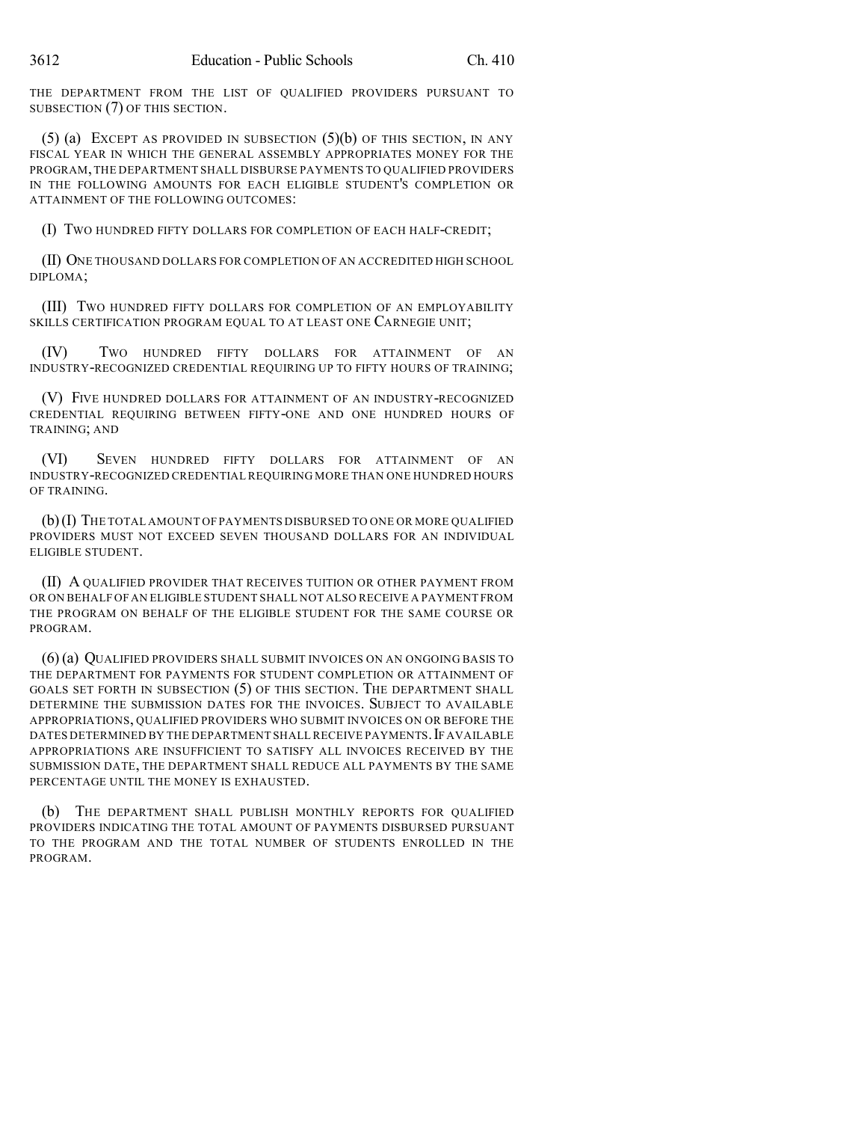THE DEPARTMENT FROM THE LIST OF QUALIFIED PROVIDERS PURSUANT TO SUBSECTION (7) OF THIS SECTION.

(5) (a) EXCEPT AS PROVIDED IN SUBSECTION (5)(b) OF THIS SECTION, IN ANY FISCAL YEAR IN WHICH THE GENERAL ASSEMBLY APPROPRIATES MONEY FOR THE PROGRAM,THE DEPARTMENT SHALL DISBURSE PAYMENTS TO QUALIFIED PROVIDERS IN THE FOLLOWING AMOUNTS FOR EACH ELIGIBLE STUDENT'S COMPLETION OR ATTAINMENT OF THE FOLLOWING OUTCOMES:

(I) TWO HUNDRED FIFTY DOLLARS FOR COMPLETION OF EACH HALF-CREDIT;

(II) ONE THOUSAND DOLLARS FOR COMPLETION OF AN ACCREDITED HIGH SCHOOL DIPLOMA;

(III) TWO HUNDRED FIFTY DOLLARS FOR COMPLETION OF AN EMPLOYABILITY SKILLS CERTIFICATION PROGRAM EQUAL TO AT LEAST ONE CARNEGIE UNIT;

(IV) TWO HUNDRED FIFTY DOLLARS FOR ATTAINMENT OF AN INDUSTRY-RECOGNIZED CREDENTIAL REQUIRING UP TO FIFTY HOURS OF TRAINING;

(V) FIVE HUNDRED DOLLARS FOR ATTAINMENT OF AN INDUSTRY-RECOGNIZED CREDENTIAL REQUIRING BETWEEN FIFTY-ONE AND ONE HUNDRED HOURS OF TRAINING; AND

(VI) SEVEN HUNDRED FIFTY DOLLARS FOR ATTAINMENT OF AN INDUSTRY-RECOGNIZED CREDENTIAL REQUIRING MORE THAN ONE HUNDRED HOURS OF TRAINING.

(b)(I) THE TOTAL AMOUNT OF PAYMENTS DISBURSED TO ONE OR MORE QUALIFIED PROVIDERS MUST NOT EXCEED SEVEN THOUSAND DOLLARS FOR AN INDIVIDUAL ELIGIBLE STUDENT.

(II) A QUALIFIED PROVIDER THAT RECEIVES TUITION OR OTHER PAYMENT FROM OR ON BEHALF OF AN ELIGIBLE STUDENT SHALL NOT ALSO RECEIVE A PAYMENT FROM THE PROGRAM ON BEHALF OF THE ELIGIBLE STUDENT FOR THE SAME COURSE OR PROGRAM.

(6) (a) QUALIFIED PROVIDERS SHALL SUBMIT INVOICES ON AN ONGOING BASIS TO THE DEPARTMENT FOR PAYMENTS FOR STUDENT COMPLETION OR ATTAINMENT OF GOALS SET FORTH IN SUBSECTION (5) OF THIS SECTION. THE DEPARTMENT SHALL DETERMINE THE SUBMISSION DATES FOR THE INVOICES. SUBJECT TO AVAILABLE APPROPRIATIONS, QUALIFIED PROVIDERS WHO SUBMIT INVOICES ON OR BEFORE THE DATES DETERMINED BY THE DEPARTMENT SHALL RECEIVE PAYMENTS.IF AVAILABLE APPROPRIATIONS ARE INSUFFICIENT TO SATISFY ALL INVOICES RECEIVED BY THE SUBMISSION DATE, THE DEPARTMENT SHALL REDUCE ALL PAYMENTS BY THE SAME PERCENTAGE UNTIL THE MONEY IS EXHAUSTED.

(b) THE DEPARTMENT SHALL PUBLISH MONTHLY REPORTS FOR QUALIFIED PROVIDERS INDICATING THE TOTAL AMOUNT OF PAYMENTS DISBURSED PURSUANT TO THE PROGRAM AND THE TOTAL NUMBER OF STUDENTS ENROLLED IN THE PROGRAM.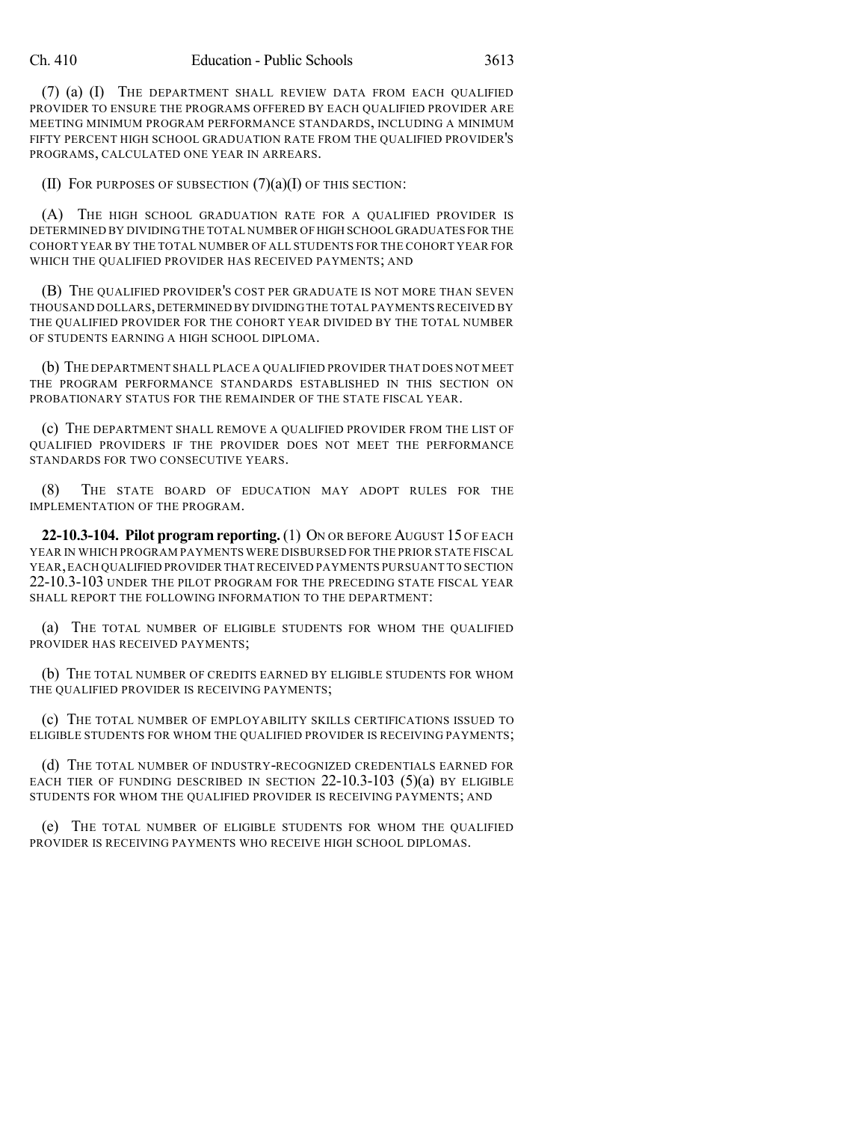(7) (a) (I) THE DEPARTMENT SHALL REVIEW DATA FROM EACH QUALIFIED PROVIDER TO ENSURE THE PROGRAMS OFFERED BY EACH QUALIFIED PROVIDER ARE MEETING MINIMUM PROGRAM PERFORMANCE STANDARDS, INCLUDING A MINIMUM FIFTY PERCENT HIGH SCHOOL GRADUATION RATE FROM THE QUALIFIED PROVIDER'S PROGRAMS, CALCULATED ONE YEAR IN ARREARS.

(II) FOR PURPOSES OF SUBSECTION  $(7)(a)(I)$  OF THIS SECTION:

(A) THE HIGH SCHOOL GRADUATION RATE FOR A QUALIFIED PROVIDER IS DETERMINED BY DIVIDING THE TOTAL NUMBER OF HIGH SCHOOL GRADUATES FOR THE COHORT YEAR BY THE TOTAL NUMBER OF ALL STUDENTS FOR THE COHORT YEAR FOR WHICH THE QUALIFIED PROVIDER HAS RECEIVED PAYMENTS; AND

(B) THE QUALIFIED PROVIDER'S COST PER GRADUATE IS NOT MORE THAN SEVEN THOUSAND DOLLARS,DETERMINED BY DIVIDINGTHE TOTAL PAYMENTS RECEIVED BY THE QUALIFIED PROVIDER FOR THE COHORT YEAR DIVIDED BY THE TOTAL NUMBER OF STUDENTS EARNING A HIGH SCHOOL DIPLOMA.

(b) THE DEPARTMENT SHALL PLACE A QUALIFIED PROVIDER THAT DOES NOT MEET THE PROGRAM PERFORMANCE STANDARDS ESTABLISHED IN THIS SECTION ON PROBATIONARY STATUS FOR THE REMAINDER OF THE STATE FISCAL YEAR.

(c) THE DEPARTMENT SHALL REMOVE A QUALIFIED PROVIDER FROM THE LIST OF QUALIFIED PROVIDERS IF THE PROVIDER DOES NOT MEET THE PERFORMANCE STANDARDS FOR TWO CONSECUTIVE YEARS.

(8) THE STATE BOARD OF EDUCATION MAY ADOPT RULES FOR THE IMPLEMENTATION OF THE PROGRAM.

**22-10.3-104. Pilot program reporting.** (1) ON OR BEFORE AUGUST 15 OF EACH YEAR IN WHICH PROGRAM PAYMENTS WERE DISBURSED FOR THE PRIOR STATE FISCAL YEAR,EACH QUALIFIED PROVIDER THAT RECEIVED PAYMENTS PURSUANT TO SECTION 22-10.3-103 UNDER THE PILOT PROGRAM FOR THE PRECEDING STATE FISCAL YEAR SHALL REPORT THE FOLLOWING INFORMATION TO THE DEPARTMENT:

(a) THE TOTAL NUMBER OF ELIGIBLE STUDENTS FOR WHOM THE QUALIFIED PROVIDER HAS RECEIVED PAYMENTS;

(b) THE TOTAL NUMBER OF CREDITS EARNED BY ELIGIBLE STUDENTS FOR WHOM THE QUALIFIED PROVIDER IS RECEIVING PAYMENTS;

(c) THE TOTAL NUMBER OF EMPLOYABILITY SKILLS CERTIFICATIONS ISSUED TO ELIGIBLE STUDENTS FOR WHOM THE QUALIFIED PROVIDER IS RECEIVING PAYMENTS;

(d) THE TOTAL NUMBER OF INDUSTRY-RECOGNIZED CREDENTIALS EARNED FOR EACH TIER OF FUNDING DESCRIBED IN SECTION  $22$ -10.3-103 (5)(a) BY ELIGIBLE STUDENTS FOR WHOM THE QUALIFIED PROVIDER IS RECEIVING PAYMENTS; AND

(e) THE TOTAL NUMBER OF ELIGIBLE STUDENTS FOR WHOM THE QUALIFIED PROVIDER IS RECEIVING PAYMENTS WHO RECEIVE HIGH SCHOOL DIPLOMAS.